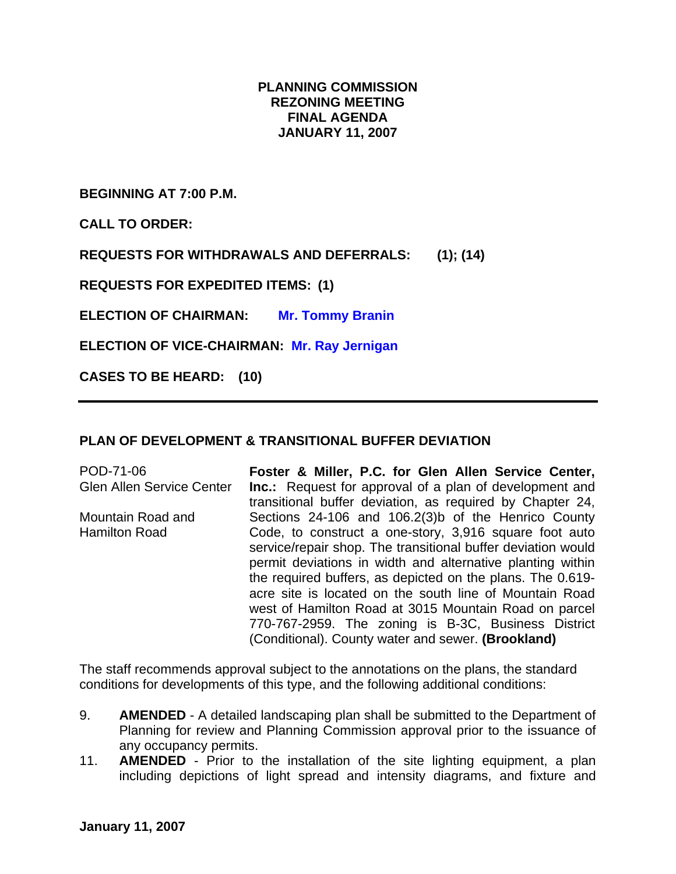## **PLANNING COMMISSION REZONING MEETING FINAL AGENDA JANUARY 11, 2007**

**BEGINNING AT 7:00 P.M.** 

**CALL TO ORDER:** 

**REQUESTS FOR WITHDRAWALS AND DEFERRALS: (1); (14)** 

**REQUESTS FOR EXPEDITED ITEMS: (1)** 

**ELECTION OF CHAIRMAN: Mr. Tommy Branin** 

**ELECTION OF VICE-CHAIRMAN: Mr. Ray Jernigan**

**CASES TO BE HEARD: (10)** 

## **PLAN OF DEVELOPMENT & TRANSITIONAL BUFFER DEVIATION**

POD-71-06 Glen Allen Service Center Mountain Road and Hamilton Road **Foster & Miller, P.C. for Glen Allen Service Center, Inc.:** Request for approval of a plan of development and transitional buffer deviation, as required by Chapter 24, Sections 24-106 and 106.2(3)b of the Henrico County Code, to construct a one-story, 3,916 square foot auto service/repair shop. The transitional buffer deviation would permit deviations in width and alternative planting within the required buffers, as depicted on the plans. The 0.619 acre site is located on the south line of Mountain Road west of Hamilton Road at 3015 Mountain Road on parcel 770-767-2959. The zoning is B-3C, Business District (Conditional). County water and sewer. **(Brookland)** 

The staff recommends approval subject to the annotations on the plans, the standard conditions for developments of this type, and the following additional conditions:

- 9. **AMENDED** A detailed landscaping plan shall be submitted to the Department of Planning for review and Planning Commission approval prior to the issuance of any occupancy permits.
- 11. **AMENDED** Prior to the installation of the site lighting equipment, a plan including depictions of light spread and intensity diagrams, and fixture and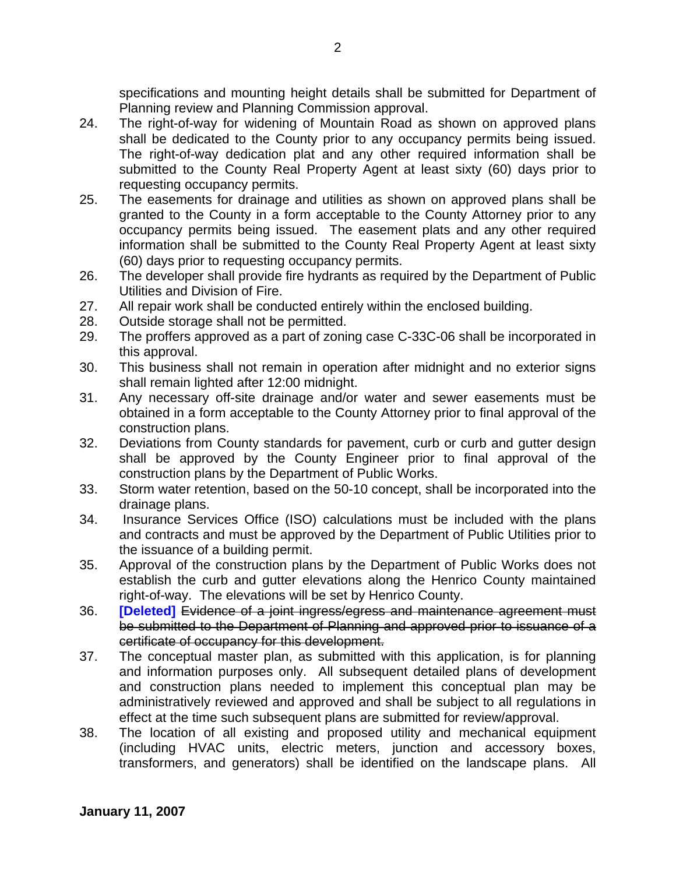specifications and mounting height details shall be submitted for Department of Planning review and Planning Commission approval.

- 24. The right-of-way for widening of Mountain Road as shown on approved plans shall be dedicated to the County prior to any occupancy permits being issued. The right-of-way dedication plat and any other required information shall be submitted to the County Real Property Agent at least sixty (60) days prior to requesting occupancy permits.
- 25. The easements for drainage and utilities as shown on approved plans shall be granted to the County in a form acceptable to the County Attorney prior to any occupancy permits being issued. The easement plats and any other required information shall be submitted to the County Real Property Agent at least sixty (60) days prior to requesting occupancy permits.
- 26. The developer shall provide fire hydrants as required by the Department of Public Utilities and Division of Fire.
- 27. All repair work shall be conducted entirely within the enclosed building.
- 28. Outside storage shall not be permitted.
- 29. The proffers approved as a part of zoning case C-33C-06 shall be incorporated in this approval.
- 30. This business shall not remain in operation after midnight and no exterior signs shall remain lighted after 12:00 midnight.
- 31. Any necessary off-site drainage and/or water and sewer easements must be obtained in a form acceptable to the County Attorney prior to final approval of the construction plans.
- 32. Deviations from County standards for pavement, curb or curb and gutter design shall be approved by the County Engineer prior to final approval of the construction plans by the Department of Public Works.
- 33. Storm water retention, based on the 50-10 concept, shall be incorporated into the drainage plans.
- 34. Insurance Services Office (ISO) calculations must be included with the plans and contracts and must be approved by the Department of Public Utilities prior to the issuance of a building permit.
- 35. Approval of the construction plans by the Department of Public Works does not establish the curb and gutter elevations along the Henrico County maintained right-of-way. The elevations will be set by Henrico County.
- 36. **[Deleted]** Evidence of a joint ingress/egress and maintenance agreement must be submitted to the Department of Planning and approved prior to issuance of a certificate of occupancy for this development.
- 37. The conceptual master plan, as submitted with this application, is for planning and information purposes only. All subsequent detailed plans of development and construction plans needed to implement this conceptual plan may be administratively reviewed and approved and shall be subject to all regulations in effect at the time such subsequent plans are submitted for review/approval.
- 38. The location of all existing and proposed utility and mechanical equipment (including HVAC units, electric meters, junction and accessory boxes, transformers, and generators) shall be identified on the landscape plans. All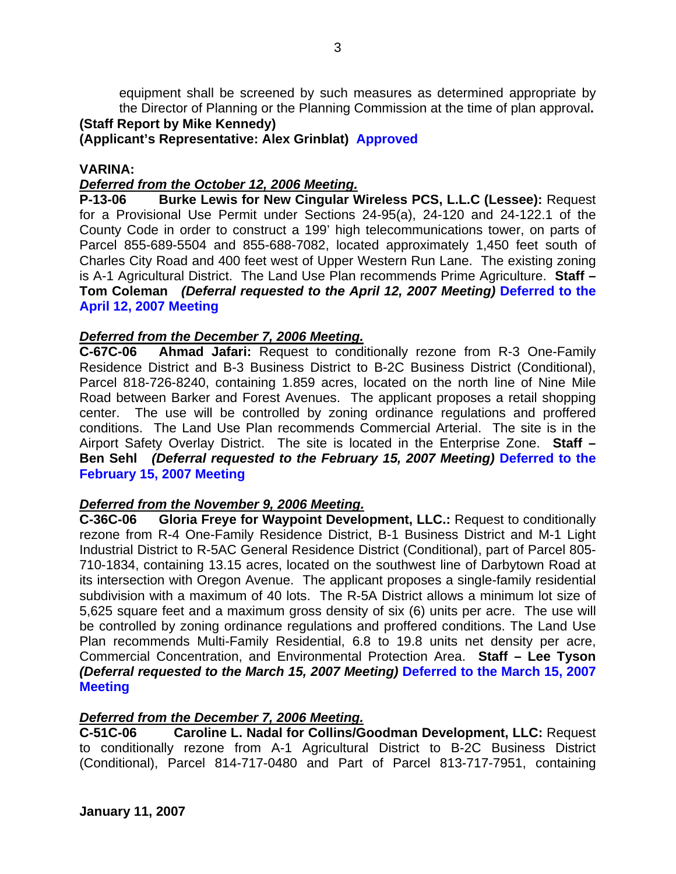equipment shall be screened by such measures as determined appropriate by the Director of Planning or the Planning Commission at the time of plan approval**.**

# **(Staff Report by Mike Kennedy)**

## **(Applicant's Representative: Alex Grinblat) Approved**

### **VARINA:**

## *Deferred from the October 12, 2006 Meeting.*

**P-13-06 Burke Lewis for New Cingular Wireless PCS, L.L.C (Lessee):** Request for a Provisional Use Permit under Sections 24-95(a), 24-120 and 24-122.1 of the County Code in order to construct a 199' high telecommunications tower, on parts of Parcel 855-689-5504 and 855-688-7082, located approximately 1,450 feet south of Charles City Road and 400 feet west of Upper Western Run Lane. The existing zoning is A-1 Agricultural District. The Land Use Plan recommends Prime Agriculture. **Staff – Tom Coleman** *(Deferral requested to the April 12, 2007 Meeting)* **Deferred to the April 12, 2007 Meeting** 

## *Deferred from the December 7, 2006 Meeting.*

**C-67C-06 Ahmad Jafari:** Request to conditionally rezone from R-3 One-Family Residence District and B-3 Business District to B-2C Business District (Conditional), Parcel 818-726-8240, containing 1.859 acres, located on the north line of Nine Mile Road between Barker and Forest Avenues. The applicant proposes a retail shopping center. The use will be controlled by zoning ordinance regulations and proffered conditions. The Land Use Plan recommends Commercial Arterial. The site is in the Airport Safety Overlay District. The site is located in the Enterprise Zone. **Staff – Ben Sehl** *(Deferral requested to the February 15, 2007 Meeting)* **Deferred to the February 15, 2007 Meeting** 

## *Deferred from the November 9, 2006 Meeting.*

**C-36C-06 Gloria Freye for Waypoint Development, LLC.:** Request to conditionally rezone from R-4 One-Family Residence District, B-1 Business District and M-1 Light Industrial District to R-5AC General Residence District (Conditional), part of Parcel 805- 710-1834, containing 13.15 acres, located on the southwest line of Darbytown Road at its intersection with Oregon Avenue. The applicant proposes a single-family residential subdivision with a maximum of 40 lots. The R-5A District allows a minimum lot size of 5,625 square feet and a maximum gross density of six (6) units per acre. The use will be controlled by zoning ordinance regulations and proffered conditions. The Land Use Plan recommends Multi-Family Residential, 6.8 to 19.8 units net density per acre, Commercial Concentration, and Environmental Protection Area. **Staff – Lee Tyson**  *(Deferral requested to the March 15, 2007 Meeting)* **Deferred to the March 15, 2007 Meeting**

## *Deferred from the December 7, 2006 Meeting.*

**C-51C-06 Caroline L. Nadal for Collins/Goodman Development, LLC:** Request to conditionally rezone from A-1 Agricultural District to B-2C Business District (Conditional), Parcel 814-717-0480 and Part of Parcel 813-717-7951, containing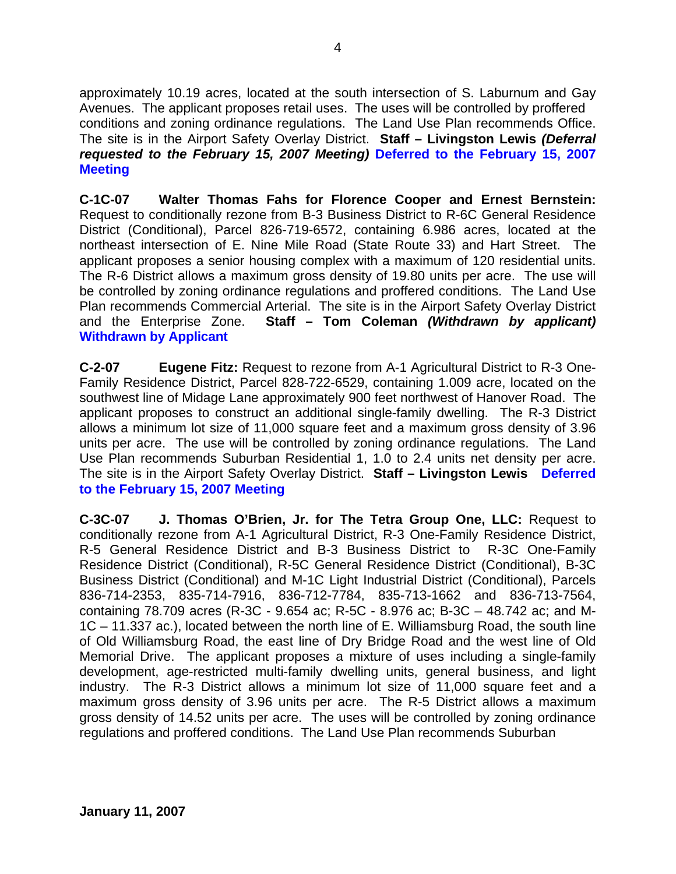approximately 10.19 acres, located at the south intersection of S. Laburnum and Gay Avenues. The applicant proposes retail uses. The uses will be controlled by proffered conditions and zoning ordinance regulations. The Land Use Plan recommends Office. The site is in the Airport Safety Overlay District. **Staff – Livingston Lewis** *(Deferral requested to the February 15, 2007 Meeting)* **Deferred to the February 15, 2007 Meeting** 

**C-1C-07 Walter Thomas Fahs for Florence Cooper and Ernest Bernstein:** Request to conditionally rezone from B-3 Business District to R-6C General Residence District (Conditional), Parcel 826-719-6572, containing 6.986 acres, located at the northeast intersection of E. Nine Mile Road (State Route 33) and Hart Street. The applicant proposes a senior housing complex with a maximum of 120 residential units. The R-6 District allows a maximum gross density of 19.80 units per acre. The use will be controlled by zoning ordinance regulations and proffered conditions. The Land Use Plan recommends Commercial Arterial. The site is in the Airport Safety Overlay District and the Enterprise Zone. **Staff – Tom Coleman** *(Withdrawn by applicant)* **Withdrawn by Applicant**

**C-2-07 Eugene Fitz:** Request to rezone from A-1 Agricultural District to R-3 One-Family Residence District, Parcel 828-722-6529, containing 1.009 acre, located on the southwest line of Midage Lane approximately 900 feet northwest of Hanover Road. The applicant proposes to construct an additional single-family dwelling. The R-3 District allows a minimum lot size of 11,000 square feet and a maximum gross density of 3.96 units per acre. The use will be controlled by zoning ordinance regulations. The Land Use Plan recommends Suburban Residential 1, 1.0 to 2.4 units net density per acre. The site is in the Airport Safety Overlay District. **Staff – Livingston Lewis Deferred to the February 15, 2007 Meeting** 

**C-3C-07 J. Thomas O'Brien, Jr. for The Tetra Group One, LLC:** Request to conditionally rezone from A-1 Agricultural District, R-3 One-Family Residence District, R-5 General Residence District and B-3 Business District to R-3C One-Family Residence District (Conditional), R-5C General Residence District (Conditional), B-3C Business District (Conditional) and M-1C Light Industrial District (Conditional), Parcels 836-714-2353, 835-714-7916, 836-712-7784, 835-713-1662 and 836-713-7564, containing 78.709 acres (R-3C - 9.654 ac; R-5C - 8.976 ac; B-3C – 48.742 ac; and M-1C – 11.337 ac.), located between the north line of E. Williamsburg Road, the south line of Old Williamsburg Road, the east line of Dry Bridge Road and the west line of Old Memorial Drive. The applicant proposes a mixture of uses including a single-family development, age-restricted multi-family dwelling units, general business, and light industry. The R-3 District allows a minimum lot size of 11,000 square feet and a maximum gross density of 3.96 units per acre. The R-5 District allows a maximum gross density of 14.52 units per acre. The uses will be controlled by zoning ordinance regulations and proffered conditions. The Land Use Plan recommends Suburban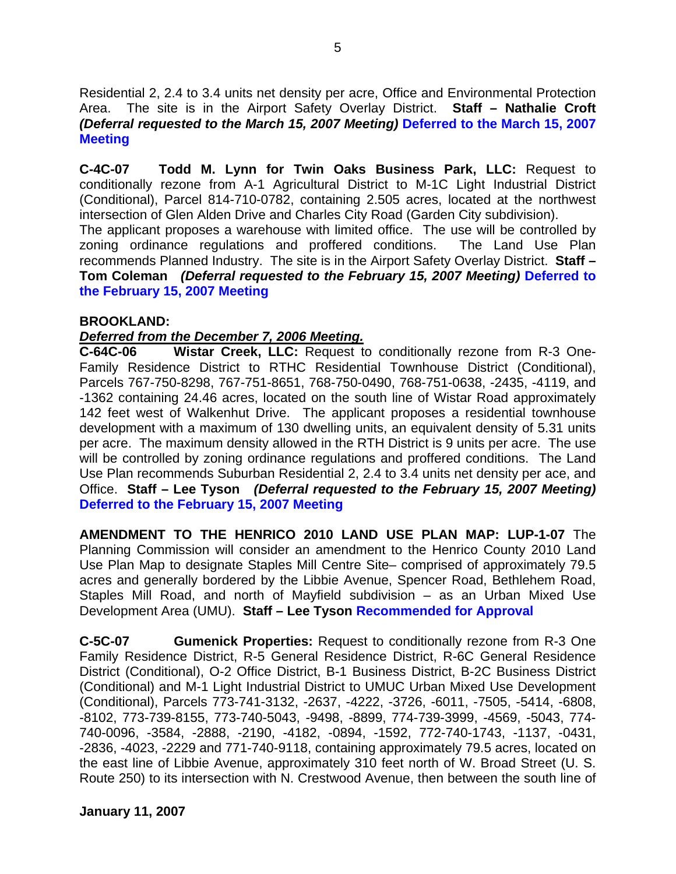Residential 2, 2.4 to 3.4 units net density per acre, Office and Environmental Protection Area. The site is in the Airport Safety Overlay District. **Staff – Nathalie Croft**  *(Deferral requested to the March 15, 2007 Meeting)* **Deferred to the March 15, 2007 Meeting** 

**C-4C-07 Todd M. Lynn for Twin Oaks Business Park, LLC:** Request to conditionally rezone from A-1 Agricultural District to M-1C Light Industrial District (Conditional), Parcel 814-710-0782, containing 2.505 acres, located at the northwest intersection of Glen Alden Drive and Charles City Road (Garden City subdivision).

The applicant proposes a warehouse with limited office. The use will be controlled by zoning ordinance regulations and proffered conditions. The Land Use Plan recommends Planned Industry. The site is in the Airport Safety Overlay District. **Staff – Tom Coleman** *(Deferral requested to the February 15, 2007 Meeting)* **Deferred to the February 15, 2007 Meeting** 

### **BROOKLAND:**

## *Deferred from the December 7, 2006 Meeting.*

**C-64C-06 Wistar Creek, LLC:** Request to conditionally rezone from R-3 One-Family Residence District to RTHC Residential Townhouse District (Conditional), Parcels 767-750-8298, 767-751-8651, 768-750-0490, 768-751-0638, -2435, -4119, and -1362 containing 24.46 acres, located on the south line of Wistar Road approximately 142 feet west of Walkenhut Drive. The applicant proposes a residential townhouse development with a maximum of 130 dwelling units, an equivalent density of 5.31 units per acre. The maximum density allowed in the RTH District is 9 units per acre. The use will be controlled by zoning ordinance regulations and proffered conditions. The Land Use Plan recommends Suburban Residential 2, 2.4 to 3.4 units net density per ace, and Office. **Staff – Lee Tyson** *(Deferral requested to the February 15, 2007 Meeting)*  **Deferred to the February 15, 2007 Meeting** 

**AMENDMENT TO THE HENRICO 2010 LAND USE PLAN MAP: LUP-1-07** The Planning Commission will consider an amendment to the Henrico County 2010 Land Use Plan Map to designate Staples Mill Centre Site– comprised of approximately 79.5 acres and generally bordered by the Libbie Avenue, Spencer Road, Bethlehem Road, Staples Mill Road, and north of Mayfield subdivision – as an Urban Mixed Use Development Area (UMU). **Staff – Lee Tyson Recommended for Approval** 

**C-5C-07 Gumenick Properties:** Request to conditionally rezone from R-3 One Family Residence District, R-5 General Residence District, R-6C General Residence District (Conditional), O-2 Office District, B-1 Business District, B-2C Business District (Conditional) and M-1 Light Industrial District to UMUC Urban Mixed Use Development (Conditional), Parcels 773-741-3132, -2637, -4222, -3726, -6011, -7505, -5414, -6808, -8102, 773-739-8155, 773-740-5043, -9498, -8899, 774-739-3999, -4569, -5043, 774- 740-0096, -3584, -2888, -2190, -4182, -0894, -1592, 772-740-1743, -1137, -0431, -2836, -4023, -2229 and 771-740-9118, containing approximately 79.5 acres, located on the east line of Libbie Avenue, approximately 310 feet north of W. Broad Street (U. S. Route 250) to its intersection with N. Crestwood Avenue, then between the south line of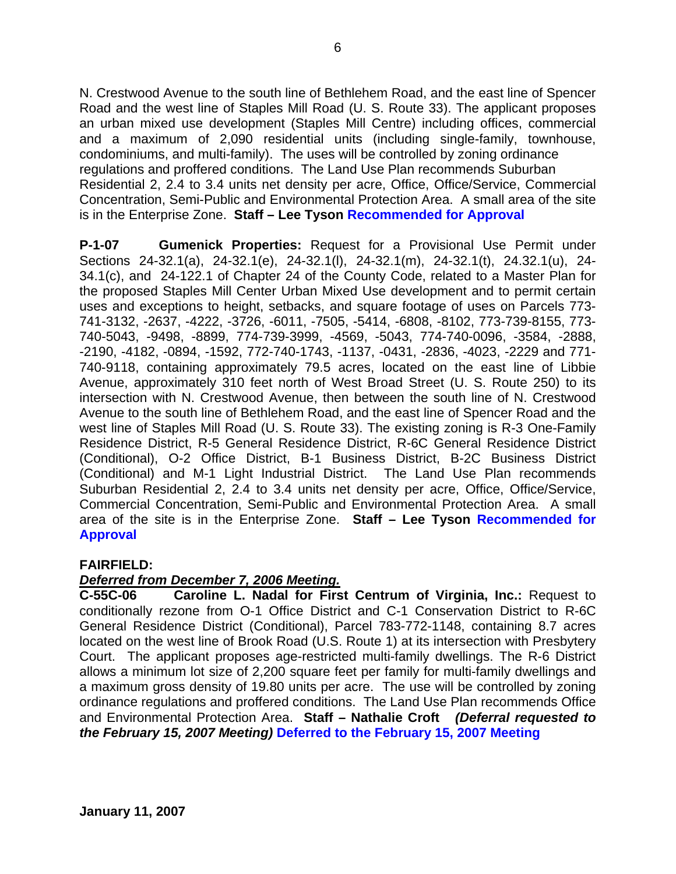N. Crestwood Avenue to the south line of Bethlehem Road, and the east line of Spencer Road and the west line of Staples Mill Road (U. S. Route 33). The applicant proposes an urban mixed use development (Staples Mill Centre) including offices, commercial and a maximum of 2,090 residential units (including single-family, townhouse, condominiums, and multi-family). The uses will be controlled by zoning ordinance regulations and proffered conditions. The Land Use Plan recommends Suburban Residential 2, 2.4 to 3.4 units net density per acre, Office, Office/Service, Commercial Concentration, Semi-Public and Environmental Protection Area. A small area of the site is in the Enterprise Zone. **Staff – Lee Tyson Recommended for Approval** 

**P-1-07 Gumenick Properties:** Request for a Provisional Use Permit under Sections 24-32.1(a), 24-32.1(e), 24-32.1(l), 24-32.1(m), 24-32.1(t), 24.32.1(u), 24- 34.1(c), and 24-122.1 of Chapter 24 of the County Code, related to a Master Plan for the proposed Staples Mill Center Urban Mixed Use development and to permit certain uses and exceptions to height, setbacks, and square footage of uses on Parcels 773- 741-3132, -2637, -4222, -3726, -6011, -7505, -5414, -6808, -8102, 773-739-8155, 773- 740-5043, -9498, -8899, 774-739-3999, -4569, -5043, 774-740-0096, -3584, -2888, -2190, -4182, -0894, -1592, 772-740-1743, -1137, -0431, -2836, -4023, -2229 and 771- 740-9118, containing approximately 79.5 acres, located on the east line of Libbie Avenue, approximately 310 feet north of West Broad Street (U. S. Route 250) to its intersection with N. Crestwood Avenue, then between the south line of N. Crestwood Avenue to the south line of Bethlehem Road, and the east line of Spencer Road and the west line of Staples Mill Road (U. S. Route 33). The existing zoning is R-3 One-Family Residence District, R-5 General Residence District, R-6C General Residence District (Conditional), O-2 Office District, B-1 Business District, B-2C Business District (Conditional) and M-1 Light Industrial District. The Land Use Plan recommends Suburban Residential 2, 2.4 to 3.4 units net density per acre, Office, Office/Service, Commercial Concentration, Semi-Public and Environmental Protection Area. A small area of the site is in the Enterprise Zone. **Staff – Lee Tyson Recommended for Approval** 

#### **FAIRFIELD:**

#### *Deferred from December 7, 2006 Meeting.*

**C-55C-06 Caroline L. Nadal for First Centrum of Virginia, Inc.:** Request to conditionally rezone from O-1 Office District and C-1 Conservation District to R-6C General Residence District (Conditional), Parcel 783-772-1148, containing 8.7 acres located on the west line of Brook Road (U.S. Route 1) at its intersection with Presbytery Court. The applicant proposes age-restricted multi-family dwellings. The R-6 District allows a minimum lot size of 2,200 square feet per family for multi-family dwellings and a maximum gross density of 19.80 units per acre. The use will be controlled by zoning ordinance regulations and proffered conditions. The Land Use Plan recommends Office and Environmental Protection Area. **Staff – Nathalie Croft** *(Deferral requested to the February 15, 2007 Meeting)* **Deferred to the February 15, 2007 Meeting**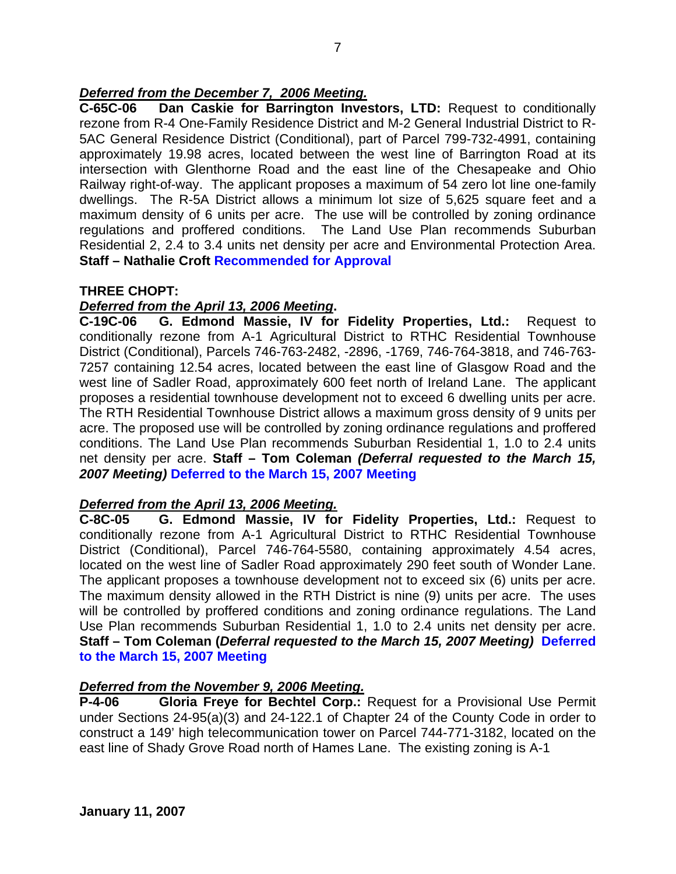## *Deferred from the December 7, 2006 Meeting.*

**C-65C-06 Dan Caskie for Barrington Investors, LTD:** Request to conditionally rezone from R-4 One-Family Residence District and M-2 General Industrial District to R-5AC General Residence District (Conditional), part of Parcel 799-732-4991, containing approximately 19.98 acres, located between the west line of Barrington Road at its intersection with Glenthorne Road and the east line of the Chesapeake and Ohio Railway right-of-way. The applicant proposes a maximum of 54 zero lot line one-family dwellings. The R-5A District allows a minimum lot size of 5,625 square feet and a maximum density of 6 units per acre. The use will be controlled by zoning ordinance regulations and proffered conditions. The Land Use Plan recommends Suburban Residential 2, 2.4 to 3.4 units net density per acre and Environmental Protection Area. **Staff – Nathalie Croft Recommended for Approval** 

### **THREE CHOPT:**

### *Deferred from the April 13, 2006 Meeting***.**

**C-19C-06 G. Edmond Massie, IV for Fidelity Properties, Ltd.:** Request to conditionally rezone from A-1 Agricultural District to RTHC Residential Townhouse District (Conditional), Parcels 746-763-2482, -2896, -1769, 746-764-3818, and 746-763- 7257 containing 12.54 acres, located between the east line of Glasgow Road and the west line of Sadler Road, approximately 600 feet north of Ireland Lane. The applicant proposes a residential townhouse development not to exceed 6 dwelling units per acre. The RTH Residential Townhouse District allows a maximum gross density of 9 units per acre. The proposed use will be controlled by zoning ordinance regulations and proffered conditions. The Land Use Plan recommends Suburban Residential 1, 1.0 to 2.4 units net density per acre. **Staff – Tom Coleman** *(Deferral requested to the March 15, 2007 Meeting)* **Deferred to the March 15, 2007 Meeting** 

## *Deferred from the April 13, 2006 Meeting.*

**C-8C-05 G. Edmond Massie, IV for Fidelity Properties, Ltd.:** Request to conditionally rezone from A-1 Agricultural District to RTHC Residential Townhouse District (Conditional), Parcel 746-764-5580, containing approximately 4.54 acres, located on the west line of Sadler Road approximately 290 feet south of Wonder Lane. The applicant proposes a townhouse development not to exceed six (6) units per acre. The maximum density allowed in the RTH District is nine (9) units per acre. The uses will be controlled by proffered conditions and zoning ordinance regulations. The Land Use Plan recommends Suburban Residential 1, 1.0 to 2.4 units net density per acre. **Staff – Tom Coleman (***Deferral requested to the March 15, 2007 Meeting)* **Deferred to the March 15, 2007 Meeting** 

## *Deferred from the November 9, 2006 Meeting.*

**P-4-06 Gloria Freye for Bechtel Corp.:** Request for a Provisional Use Permit under Sections 24-95(a)(3) and 24-122.1 of Chapter 24 of the County Code in order to construct a 149' high telecommunication tower on Parcel 744-771-3182, located on the east line of Shady Grove Road north of Hames Lane. The existing zoning is A-1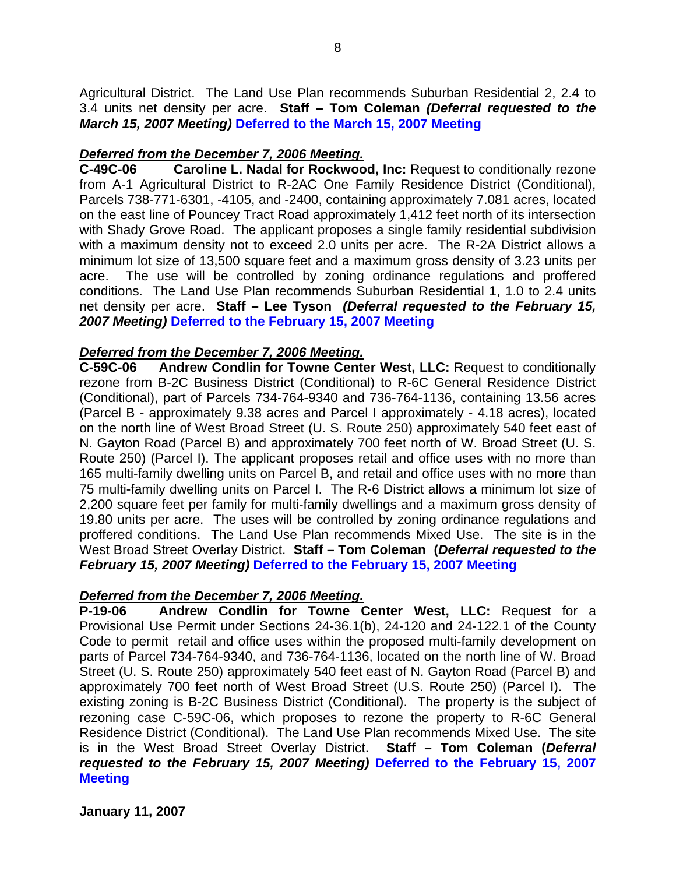Agricultural District. The Land Use Plan recommends Suburban Residential 2, 2.4 to 3.4 units net density per acre. **Staff – Tom Coleman** *(Deferral requested to the March 15, 2007 Meeting)* **Deferred to the March 15, 2007 Meeting**

## *Deferred from the December 7, 2006 Meeting.*

**C-49C-06 Caroline L. Nadal for Rockwood, Inc:** Request to conditionally rezone from A-1 Agricultural District to R-2AC One Family Residence District (Conditional), Parcels 738-771-6301, -4105, and -2400, containing approximately 7.081 acres, located on the east line of Pouncey Tract Road approximately 1,412 feet north of its intersection with Shady Grove Road. The applicant proposes a single family residential subdivision with a maximum density not to exceed 2.0 units per acre. The R-2A District allows a minimum lot size of 13,500 square feet and a maximum gross density of 3.23 units per acre. The use will be controlled by zoning ordinance regulations and proffered conditions. The Land Use Plan recommends Suburban Residential 1, 1.0 to 2.4 units net density per acre. **Staff – Lee Tyson** *(Deferral requested to the February 15, 2007 Meeting)* **Deferred to the February 15, 2007 Meeting** 

## *Deferred from the December 7, 2006 Meeting.*

**C-59C-06 Andrew Condlin for Towne Center West, LLC:** Request to conditionally rezone from B-2C Business District (Conditional) to R-6C General Residence District (Conditional), part of Parcels 734-764-9340 and 736-764-1136, containing 13.56 acres (Parcel B - approximately 9.38 acres and Parcel I approximately - 4.18 acres), located on the north line of West Broad Street (U. S. Route 250) approximately 540 feet east of N. Gayton Road (Parcel B) and approximately 700 feet north of W. Broad Street (U. S. Route 250) (Parcel I). The applicant proposes retail and office uses with no more than 165 multi-family dwelling units on Parcel B, and retail and office uses with no more than 75 multi-family dwelling units on Parcel I. The R-6 District allows a minimum lot size of 2,200 square feet per family for multi-family dwellings and a maximum gross density of 19.80 units per acre. The uses will be controlled by zoning ordinance regulations and proffered conditions. The Land Use Plan recommends Mixed Use. The site is in the West Broad Street Overlay District. **Staff – Tom Coleman (***Deferral requested to the February 15, 2007 Meeting)* **Deferred to the February 15, 2007 Meeting** 

## *Deferred from the December 7, 2006 Meeting.*

**P-19-06 Andrew Condlin for Towne Center West, LLC:** Request for a Provisional Use Permit under Sections 24-36.1(b), 24-120 and 24-122.1 of the County Code to permit retail and office uses within the proposed multi-family development on parts of Parcel 734-764-9340, and 736-764-1136, located on the north line of W. Broad Street (U. S. Route 250) approximately 540 feet east of N. Gayton Road (Parcel B) and approximately 700 feet north of West Broad Street (U.S. Route 250) (Parcel I). The existing zoning is B-2C Business District (Conditional). The property is the subject of rezoning case C-59C-06, which proposes to rezone the property to R-6C General Residence District (Conditional). The Land Use Plan recommends Mixed Use. The site is in the West Broad Street Overlay District. **Staff – Tom Coleman (***Deferral requested to the February 15, 2007 Meeting)* **Deferred to the February 15, 2007 Meeting**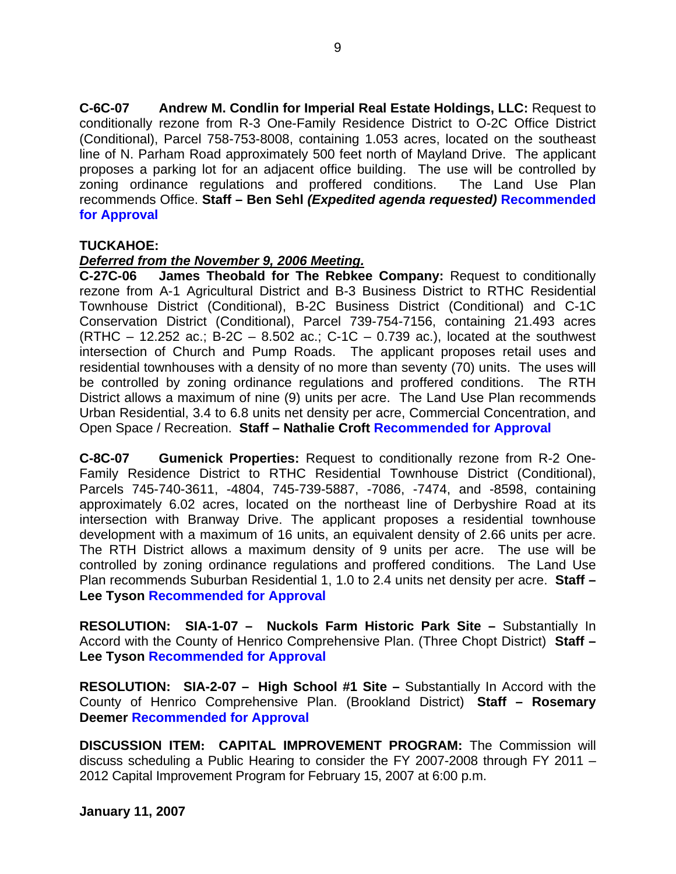**C-6C-07 Andrew M. Condlin for Imperial Real Estate Holdings, LLC:** Request to conditionally rezone from R-3 One-Family Residence District to O-2C Office District (Conditional), Parcel 758-753-8008, containing 1.053 acres, located on the southeast line of N. Parham Road approximately 500 feet north of Mayland Drive. The applicant proposes a parking lot for an adjacent office building. The use will be controlled by zoning ordinance regulations and proffered conditions. The Land Use Plan recommends Office. **Staff – Ben Sehl** *(Expedited agenda requested)* **Recommended for Approval** 

### **TUCKAHOE:**

### *Deferred from the November 9, 2006 Meeting.*

**C-27C-06 James Theobald for The Rebkee Company:** Request to conditionally rezone from A-1 Agricultural District and B-3 Business District to RTHC Residential Townhouse District (Conditional), B-2C Business District (Conditional) and C-1C Conservation District (Conditional), Parcel 739-754-7156, containing 21.493 acres (RTHC – 12.252 ac.; B-2C – 8.502 ac.; C-1C – 0.739 ac.), located at the southwest intersection of Church and Pump Roads. The applicant proposes retail uses and residential townhouses with a density of no more than seventy (70) units. The uses will be controlled by zoning ordinance regulations and proffered conditions. The RTH District allows a maximum of nine (9) units per acre. The Land Use Plan recommends Urban Residential, 3.4 to 6.8 units net density per acre, Commercial Concentration, and Open Space / Recreation. **Staff – Nathalie Croft Recommended for Approval** 

**C-8C-07 Gumenick Properties:** Request to conditionally rezone from R-2 One-Family Residence District to RTHC Residential Townhouse District (Conditional), Parcels 745-740-3611, -4804, 745-739-5887, -7086, -7474, and -8598, containing approximately 6.02 acres, located on the northeast line of Derbyshire Road at its intersection with Branway Drive. The applicant proposes a residential townhouse development with a maximum of 16 units, an equivalent density of 2.66 units per acre. The RTH District allows a maximum density of 9 units per acre. The use will be controlled by zoning ordinance regulations and proffered conditions. The Land Use Plan recommends Suburban Residential 1, 1.0 to 2.4 units net density per acre. **Staff – Lee Tyson Recommended for Approval**

**RESOLUTION: SIA-1-07 – Nuckols Farm Historic Park Site –** Substantially In Accord with the County of Henrico Comprehensive Plan. (Three Chopt District) **Staff – Lee Tyson Recommended for Approval** 

**RESOLUTION: SIA-2-07 – High School #1 Site –** Substantially In Accord with the County of Henrico Comprehensive Plan. (Brookland District) **Staff – Rosemary Deemer Recommended for Approval**

**DISCUSSION ITEM: CAPITAL IMPROVEMENT PROGRAM:** The Commission will discuss scheduling a Public Hearing to consider the FY 2007-2008 through FY 2011 – 2012 Capital Improvement Program for February 15, 2007 at 6:00 p.m.